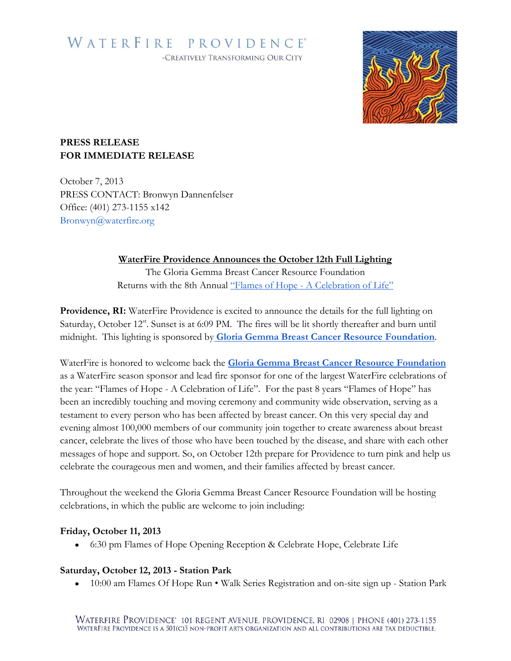# WATERFIRE PROVIDENCE® -CREATIVELY TRANSFORMING OUR CITY



### **PRESS RELEASE FOR IMMEDIATE RELEASE**

October 7, 2013 PRESS CONTACT: Bronwyn Dannenfelser Office: (401) 273-1155 x142 Bronwyn@waterfire.org

## **WaterFire Providence Announces the October 12th Full Lighting**

The Gloria Gemma Breast Cancer Resource Foundation Returns with the 8th Annual "Flames of Hope - [A Celebration of Life](http://www.flamesofhoperi.com/about.html)"

**Providence, RI:** WaterFire Providence is excited to announce the details for the full lighting on Saturday, October 12<sup>st</sup>. Sunset is at 6:09 PM. The fires will be lit shortly thereafter and burn until midnight. This lighting is sponsored by **[Gloria Gemma Breast Cancer Resource Foundation](http://waterfire.org/schedule/saturday-september-28th-2013/)**.

WaterFire is honored to welcome back the **[Gloria Gemma Breast Cancer Resource Foundation](http://www.flamesofhoperi.com/about.html)** as a WaterFire season sponsor and lead fire sponsor for one of the largest WaterFire celebrations of the year: "Flames of Hope - A Celebration of Life". For the past 8 years "Flames of Hope" has been an incredibly touching and moving ceremony and community wide observation, serving as a testament to every person who has been affected by breast cancer. On this very special day and evening almost 100,000 members of our community join together to create awareness about breast cancer, celebrate the lives of those who have been touched by the disease, and share with each other messages of hope and support. So, on October 12th prepare for Providence to turn pink and help us celebrate the courageous men and women, and their families affected by breast cancer.

Throughout the weekend the Gloria Gemma Breast Cancer Resource Foundation will be hosting celebrations, in which the public are welcome to join including:

### **Friday, October 11, 2013**

6:30 pm Flames of Hope Opening Reception & Celebrate Hope, Celebrate Life

### **Saturday, October 12, 2013 - Station Park**

10:00 am Flames Of Hope Run • Walk Series Registration and on-site sign up - Station Park